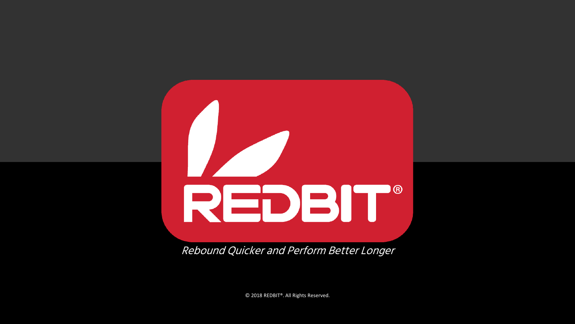

Rebound Quicker and Perform Better Longer

© 2018 REDBIT®. All Rights Reserved.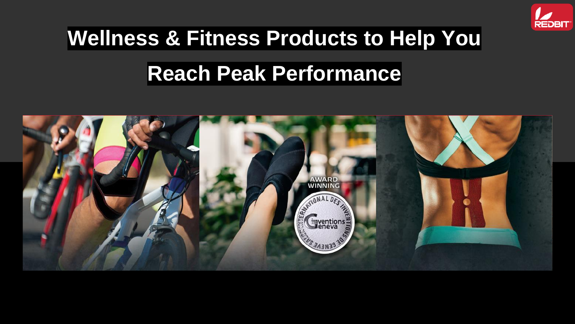

# **Wellness & Fitness Products to Help You Reach Peak Performance**

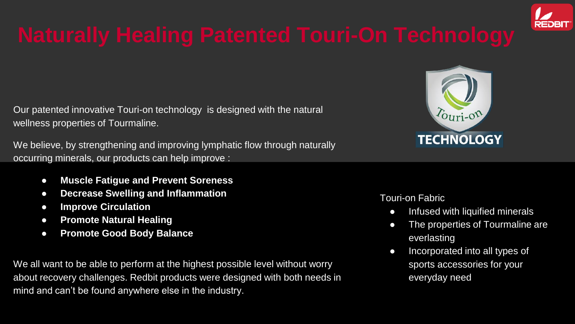

Our patented innovative Touri-on technology is designed with the natural wellness properties of Tourmaline.

We believe, by strengthening and improving lymphatic flow through naturally occurring minerals, our products can help improve :

- **Muscle Fatigue and Prevent Soreness**
- **Decrease Swelling and Inflammation**
- **Improve Circulation**
- **Promote Natural Healing**
- **Promote Good Body Balance**

We all want to be able to perform at the highest possible level without worry about recovery challenges. Redbit products were designed with both needs in mind and can't be found anywhere else in the industry.



### Touri-on Fabric

- Infused with liquified minerals
- The properties of Tourmaline are everlasting
- Incorporated into all types of sports accessories for your everyday need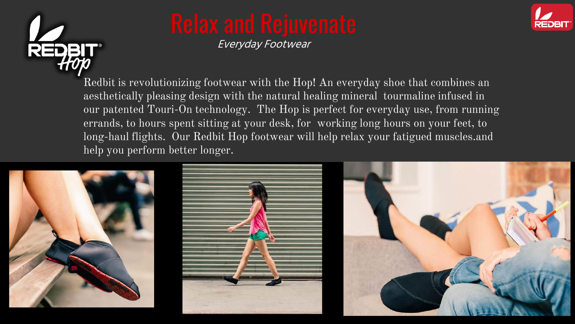

Everyday Footwear



Redbit is revolutionizing footwear with the Hop! An everyday shoe that combines an aesthetically pleasing design with the natural healing mineral tourmaline infused in our patented Touri-On technology. The Hop is perfect for everyday use, from running errands, to hours spent sitting at your desk, for working long hours on your feet, to long-haul flights. Our Redbit Hop footwear will help relax your fatigued muscles.and help you perform better longer.





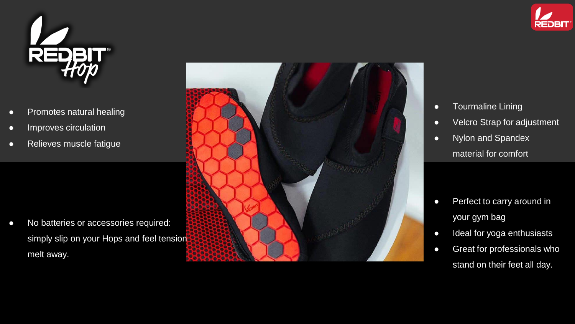



- 
- 
- 
- Promotes natural healing<br>● Improves circulation<br>● Relieves muscle fatigue<br>● No batteries or accessories required: simply slip on your Hops and feel tension melt away.



- Tourmaline Lining
- Velcro Strap for adjustment
- Nylon and Spandex material for comfort

- Perfect to carry around in your gym bag
- Ideal for yoga enthusiasts
- Great for professionals who stand on their feet all day.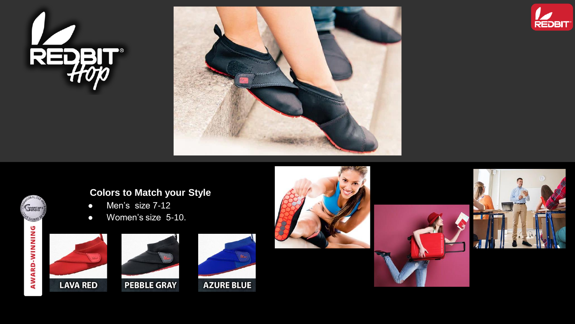





# **Colors to Match your Style**

- Men's size 7-12
- Women's size 5-10.



Gyentions **PRESENTENCE** 

**AWARD-WINNING** 



### **PEBBLE GRAY**







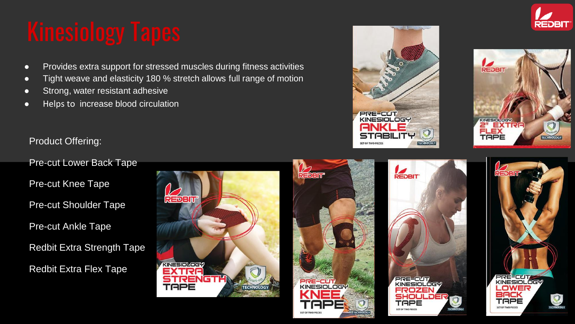- Provides extra support for stressed muscles during fitness activities
- Tight weave and elasticity 180 % stretch allows full range of motion
- Strong, water resistant adhesive
- Helps to increase blood circulation

# Product Offering:

Pre-cut Lower Back Tape

Pre-cut Knee Tape

Pre-cut Shoulder Tape

Pre-cut Ankle Tape

Redbit Extra Strength Tape

Redbit Extra Flex Tape







REDBIT

**PRE-CUT** NESIOL

SHOULDE

.oct